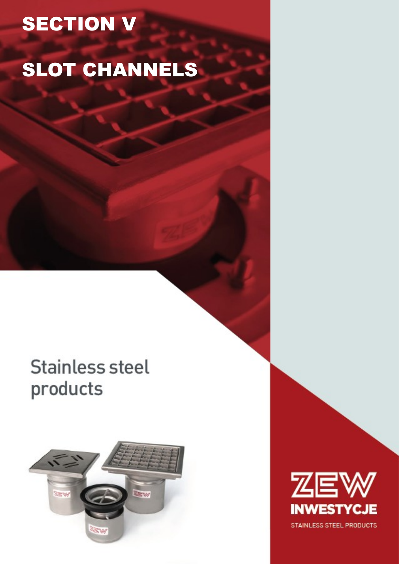# **SECTION V**

## SLOT CHANNELS

## **Stainless steel** products



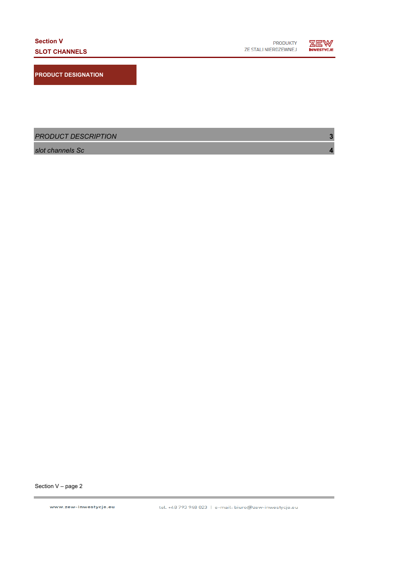PRODUKTY ZE STALI NIERDZEWNEJ



**PRODUCT DESIGNATION**

*PRODUCT DESCRIPTION* **3**

*slot channels Sc* **4**

Section V – page 2

www.zew-inwestycje.eu

tel. +48 793 948 023 | e-mail: biuro@zew-inwestycje.eu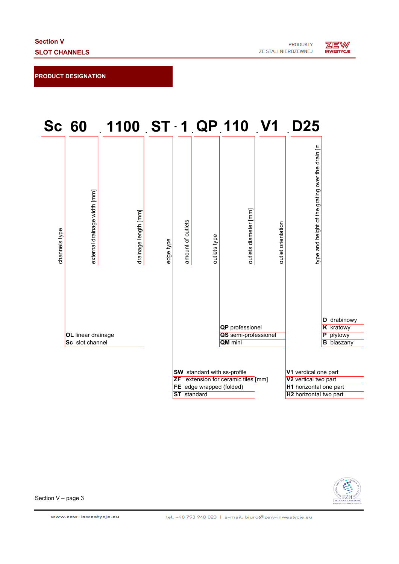**PRODUCT DESIGNATION**





Section V – page 3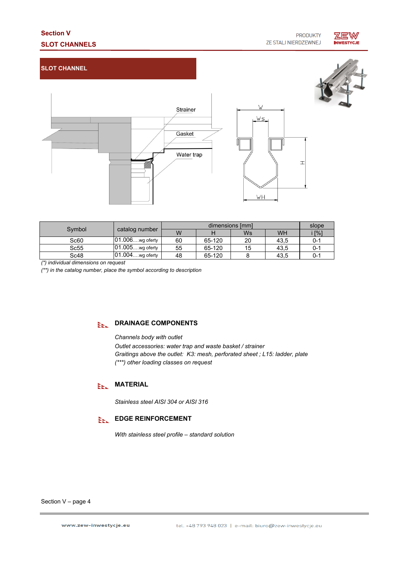## **Section V SLOT CHANNELS**



### **SLOT CHANNEL**



| Symbol           | catalog number      | dimensions [mm] |        |    |           | slope             |
|------------------|---------------------|-----------------|--------|----|-----------|-------------------|
|                  |                     | W               |        | Ws | <b>WH</b> | $\lceil\% \rceil$ |
| Sc60             | $ 01.006$ wg oferty | 60              | 65-120 | 20 | 43,5      | $0 - 1$           |
| Sc55             | 01.005wg oferty     | 55              | 65-120 | 15 | 43,5      | $0 - 1$           |
| Sc <sub>48</sub> | $ 01.004$ wg oferty | 48              | 65-120 |    | 43,5      | $0 - 1$           |

*(\*) individual dimensions on request*

*(\*\*) in the catalog number, place the symbol according to description*

**DRAINAGE COMPONENTS** EEL.

> *Channels body with outlet Outlet accessories: water trap and waste basket / strainer Graitings above the outlet: K3: mesh, perforated sheet ; L15: ladder, plate (\*\*\*) other loading classes on request*

## **ELL** MATERIAL

*Stainless steel AISI 304 or AISI 316*

## **EDGE REINFORCEMENT**

*With stainless steel profile – standard solution*

Section V – page 4

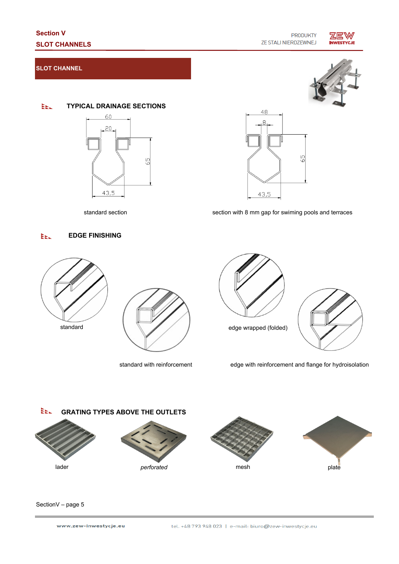

### **SLOT CHANNEL**

### **EEL TYPICAL DRAINAGE SECTIONS**



48 59 43,5

standard section section section with 8 mm gap for swiming pools and terraces

#### EDGE FINISHING









standard with reinforcement edge with reinforcement and flange for hydroisolation



SectionV – page 5